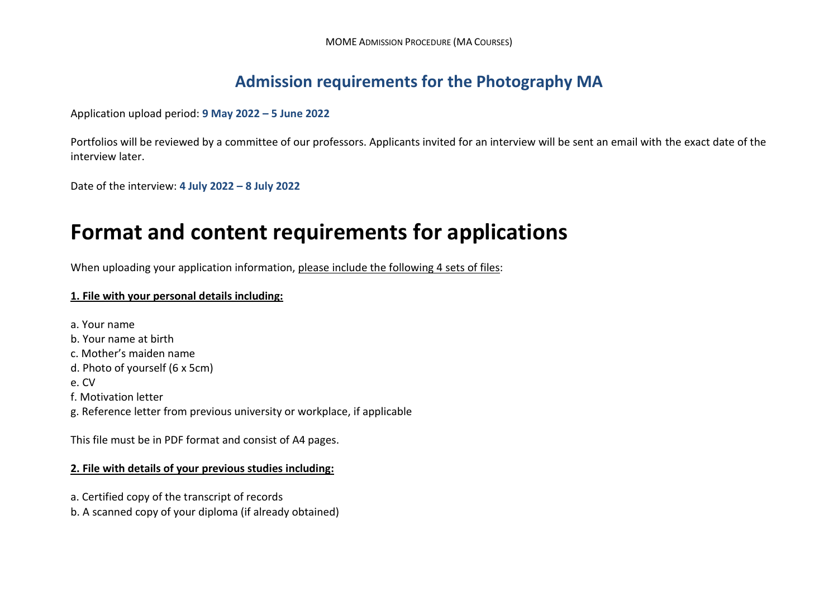## **Admission requirements for the Photography MA**

Application upload period: **9 May 2022 – 5 June 2022**

Portfolios will be reviewed by a committee of our professors. Applicants invited for an interview will be sent an email with the exact date of the interview later.

Date of the interview: **4 July 2022 – 8 July 2022**

## **Format and content requirements for applications**

When uploading your application information, please include the following 4 sets of files:

## **1. File with your personal details including:**

a. Your name b. Your name at birth c. Mother's maiden name d. Photo of yourself (6 x 5cm) e. CV f. Motivation letter g. Reference letter from previous university or workplace, if applicable

This file must be in PDF format and consist of A4 pages.

## **2. File with details of your previous studies including:**

a. Certified copy of the transcript of records

b. A scanned copy of your diploma (if already obtained)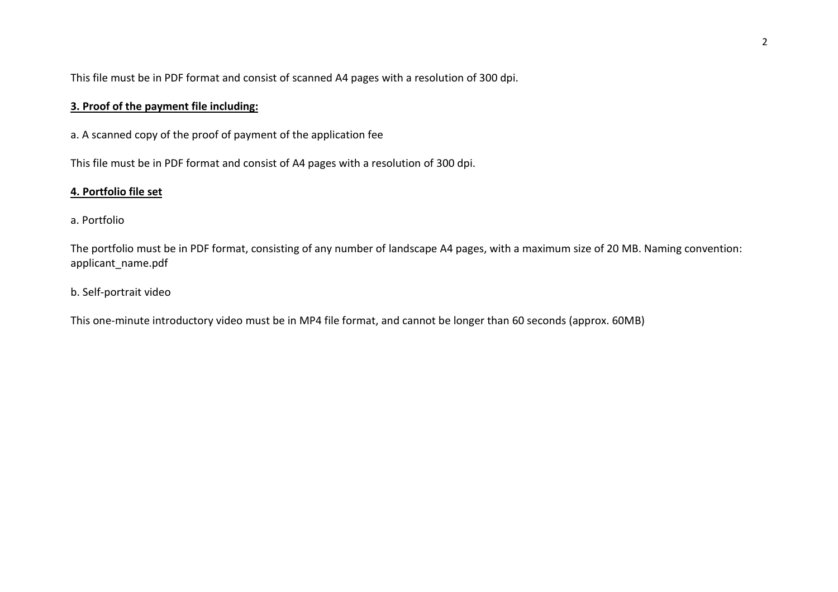This file must be in PDF format and consist of scanned A4 pages with a resolution of 300 dpi.

## **3. Proof of the payment file including:**

a. A scanned copy of the proof of payment of the application fee

This file must be in PDF format and consist of A4 pages with a resolution of 300 dpi.

### **4. Portfolio file set**

### a. Portfolio

The portfolio must be in PDF format, consisting of any number of landscape A4 pages, with a maximum size of 20 MB. Naming convention: applicant\_name.pdf

## b. Self-portrait video

This one-minute introductory video must be in MP4 file format, and cannot be longer than 60 seconds (approx. 60MB)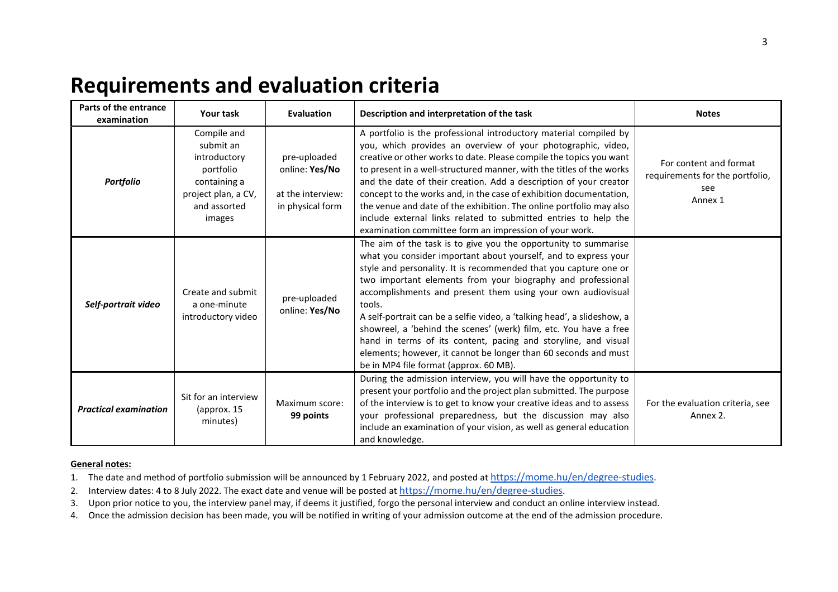# **Requirements and evaluation criteria**

| Parts of the entrance<br>examination | <b>Your task</b>                                                                                                       | <b>Evaluation</b>                                                       | Description and interpretation of the task                                                                                                                                                                                                                                                                                                                                                                                                                                                                                                                                                                                                                                    | <b>Notes</b>                                                                |
|--------------------------------------|------------------------------------------------------------------------------------------------------------------------|-------------------------------------------------------------------------|-------------------------------------------------------------------------------------------------------------------------------------------------------------------------------------------------------------------------------------------------------------------------------------------------------------------------------------------------------------------------------------------------------------------------------------------------------------------------------------------------------------------------------------------------------------------------------------------------------------------------------------------------------------------------------|-----------------------------------------------------------------------------|
| <b>Portfolio</b>                     | Compile and<br>submit an<br>introductory<br>portfolio<br>containing a<br>project plan, a CV,<br>and assorted<br>images | pre-uploaded<br>online: Yes/No<br>at the interview:<br>in physical form | A portfolio is the professional introductory material compiled by<br>you, which provides an overview of your photographic, video,<br>creative or other works to date. Please compile the topics you want<br>to present in a well-structured manner, with the titles of the works<br>and the date of their creation. Add a description of your creator<br>concept to the works and, in the case of exhibition documentation,<br>the venue and date of the exhibition. The online portfolio may also<br>include external links related to submitted entries to help the<br>examination committee form an impression of your work.                                               | For content and format<br>requirements for the portfolio,<br>see<br>Annex 1 |
| Self-portrait video                  | Create and submit<br>a one-minute<br>introductory video                                                                | pre-uploaded<br>online: Yes/No                                          | The aim of the task is to give you the opportunity to summarise<br>what you consider important about yourself, and to express your<br>style and personality. It is recommended that you capture one or<br>two important elements from your biography and professional<br>accomplishments and present them using your own audiovisual<br>tools.<br>A self-portrait can be a selfie video, a 'talking head', a slideshow, a<br>showreel, a 'behind the scenes' (werk) film, etc. You have a free<br>hand in terms of its content, pacing and storyline, and visual<br>elements; however, it cannot be longer than 60 seconds and must<br>be in MP4 file format (approx. 60 MB). |                                                                             |
| <b>Practical examination</b>         | Sit for an interview<br>(approx. 15<br>minutes)                                                                        | Maximum score:<br>99 points                                             | During the admission interview, you will have the opportunity to<br>present your portfolio and the project plan submitted. The purpose<br>of the interview is to get to know your creative ideas and to assess<br>your professional preparedness, but the discussion may also<br>include an examination of your vision, as well as general education<br>and knowledge.                                                                                                                                                                                                                                                                                                        | For the evaluation criteria, see<br>Annex 2.                                |

### **General notes:**

1. The date and method of portfolio submission will be announced by 1 February 2022, and posted at <https://mome.hu/en/degree-studies>.

2. Interview dates: 4 to 8 July 2022. The exact date and venue will be posted at <https://mome.hu/en/degree-studies>.

3. Upon prior notice to you, the interview panel may, if deems it justified, forgo the personal interview and conduct an online interview instead.

4. Once the admission decision has been made, you will be notified in writing of your admission outcome at the end of the admission procedure.